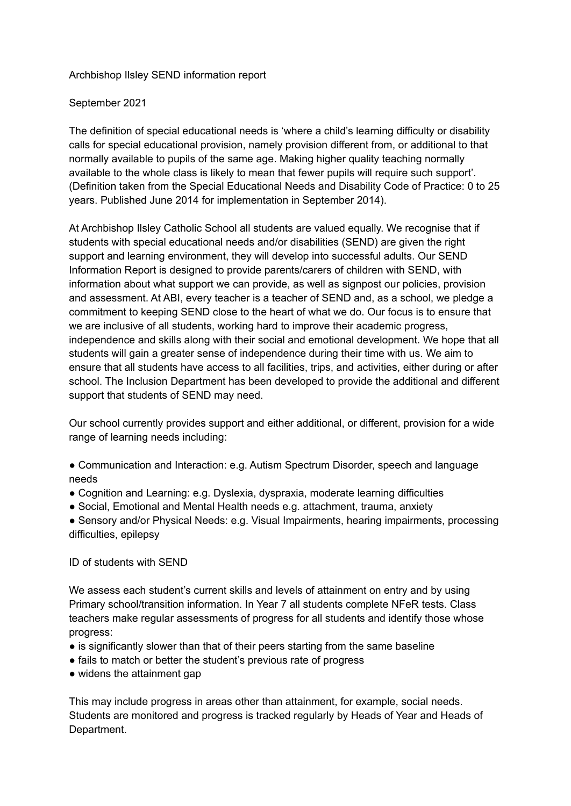### Archbishop Ilsley SEND information report

### September 2021

The definition of special educational needs is 'where a child's learning difficulty or disability calls for special educational provision, namely provision different from, or additional to that normally available to pupils of the same age. Making higher quality teaching normally available to the whole class is likely to mean that fewer pupils will require such support'. (Definition taken from the Special Educational Needs and Disability Code of Practice: 0 to 25 years. Published June 2014 for implementation in September 2014).

At Archbishop Ilsley Catholic School all students are valued equally. We recognise that if students with special educational needs and/or disabilities (SEND) are given the right support and learning environment, they will develop into successful adults. Our SEND Information Report is designed to provide parents/carers of children with SEND, with information about what support we can provide, as well as signpost our policies, provision and assessment. At ABI, every teacher is a teacher of SEND and, as a school, we pledge a commitment to keeping SEND close to the heart of what we do. Our focus is to ensure that we are inclusive of all students, working hard to improve their academic progress, independence and skills along with their social and emotional development. We hope that all students will gain a greater sense of independence during their time with us. We aim to ensure that all students have access to all facilities, trips, and activities, either during or after school. The Inclusion Department has been developed to provide the additional and different support that students of SEND may need.

Our school currently provides support and either additional, or different, provision for a wide range of learning needs including:

- Communication and Interaction: e.g. Autism Spectrum Disorder, speech and language needs
- Cognition and Learning: e.g. Dyslexia, dyspraxia, moderate learning difficulties
- Social, Emotional and Mental Health needs e.g. attachment, trauma, anxiety

● Sensory and/or Physical Needs: e.g. Visual Impairments, hearing impairments, processing difficulties, epilepsy

#### ID of students with SEND

We assess each student's current skills and levels of attainment on entry and by using Primary school/transition information. In Year 7 all students complete NFeR tests. Class teachers make regular assessments of progress for all students and identify those whose progress:

- is significantly slower than that of their peers starting from the same baseline
- fails to match or better the student's previous rate of progress
- widens the attainment gap

This may include progress in areas other than attainment, for example, social needs. Students are monitored and progress is tracked regularly by Heads of Year and Heads of Department.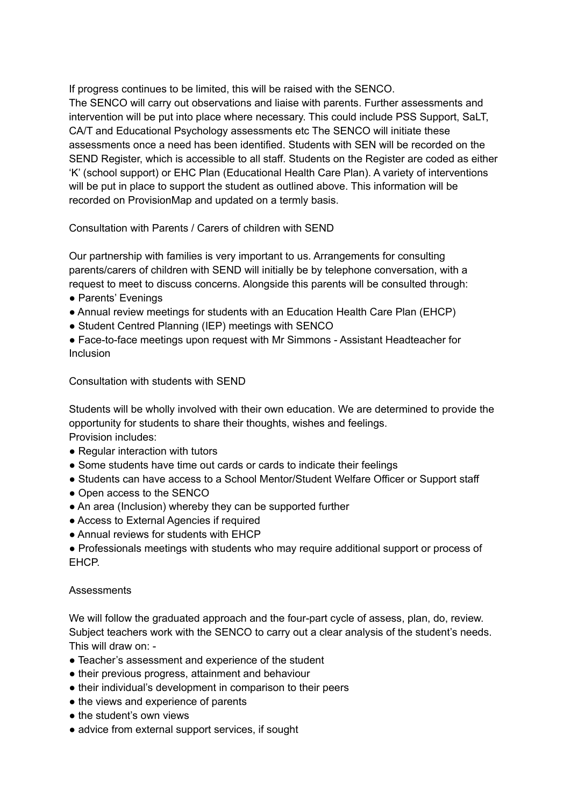If progress continues to be limited, this will be raised with the SENCO. The SENCO will carry out observations and liaise with parents. Further assessments and intervention will be put into place where necessary. This could include PSS Support, SaLT, CA/T and Educational Psychology assessments etc The SENCO will initiate these assessments once a need has been identified. Students with SEN will be recorded on the SEND Register, which is accessible to all staff. Students on the Register are coded as either 'K' (school support) or EHC Plan (Educational Health Care Plan). A variety of interventions will be put in place to support the student as outlined above. This information will be recorded on ProvisionMap and updated on a termly basis.

Consultation with Parents / Carers of children with SEND

Our partnership with families is very important to us. Arrangements for consulting parents/carers of children with SEND will initially be by telephone conversation, with a request to meet to discuss concerns. Alongside this parents will be consulted through:

- Parents' Evenings
- Annual review meetings for students with an Education Health Care Plan (EHCP)
- Student Centred Planning (IEP) meetings with SENCO

● Face-to-face meetings upon request with Mr Simmons - Assistant Headteacher for Inclusion

Consultation with students with SEND

Students will be wholly involved with their own education. We are determined to provide the opportunity for students to share their thoughts, wishes and feelings. Provision includes:

- Regular interaction with tutors
- Some students have time out cards or cards to indicate their feelings
- Students can have access to a School Mentor/Student Welfare Officer or Support staff
- Open access to the SENCO
- An area (Inclusion) whereby they can be supported further
- Access to External Agencies if required
- Annual reviews for students with EHCP

● Professionals meetings with students who may require additional support or process of EHCP.

### **Assessments**

We will follow the graduated approach and the four-part cycle of assess, plan, do, review. Subject teachers work with the SENCO to carry out a clear analysis of the student's needs. This will draw on: -

- Teacher's assessment and experience of the student
- their previous progress, attainment and behaviour
- their individual's development in comparison to their peers
- the views and experience of parents
- the student's own views
- advice from external support services, if sought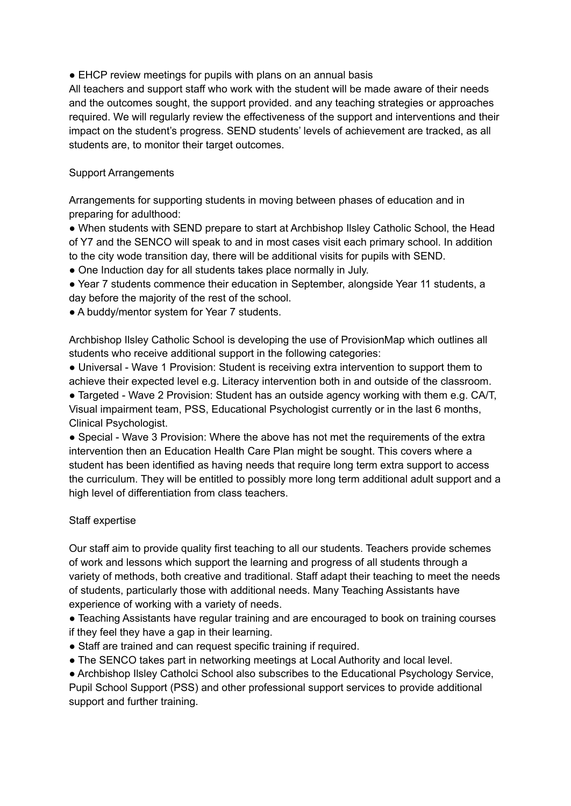■ EHCP review meetings for pupils with plans on an annual basis

All teachers and support staff who work with the student will be made aware of their needs and the outcomes sought, the support provided. and any teaching strategies or approaches required. We will regularly review the effectiveness of the support and interventions and their impact on the student's progress. SEND students' levels of achievement are tracked, as all students are, to monitor their target outcomes.

# Support Arrangements

Arrangements for supporting students in moving between phases of education and in preparing for adulthood:

● When students with SEND prepare to start at Archbishop Ilsley Catholic School, the Head of Y7 and the SENCO will speak to and in most cases visit each primary school. In addition to the city wode transition day, there will be additional visits for pupils with SEND.

• One Induction day for all students takes place normally in July.

● Year 7 students commence their education in September, alongside Year 11 students, a day before the majority of the rest of the school.

• A buddy/mentor system for Year 7 students.

Archbishop Ilsley Catholic School is developing the use of ProvisionMap which outlines all students who receive additional support in the following categories:

● Universal - Wave 1 Provision: Student is receiving extra intervention to support them to achieve their expected level e.g. Literacy intervention both in and outside of the classroom.

● Targeted - Wave 2 Provision: Student has an outside agency working with them e.g. CA/T, Visual impairment team, PSS, Educational Psychologist currently or in the last 6 months, Clinical Psychologist.

● Special - Wave 3 Provision: Where the above has not met the requirements of the extra intervention then an Education Health Care Plan might be sought. This covers where a student has been identified as having needs that require long term extra support to access the curriculum. They will be entitled to possibly more long term additional adult support and a high level of differentiation from class teachers.

# Staff expertise

Our staff aim to provide quality first teaching to all our students. Teachers provide schemes of work and lessons which support the learning and progress of all students through a variety of methods, both creative and traditional. Staff adapt their teaching to meet the needs of students, particularly those with additional needs. Many Teaching Assistants have experience of working with a variety of needs.

● Teaching Assistants have regular training and are encouraged to book on training courses if they feel they have a gap in their learning.

- Staff are trained and can request specific training if required.
- The SENCO takes part in networking meetings at Local Authority and local level.

● Archbishop Ilsley Catholci School also subscribes to the Educational Psychology Service, Pupil School Support (PSS) and other professional support services to provide additional support and further training.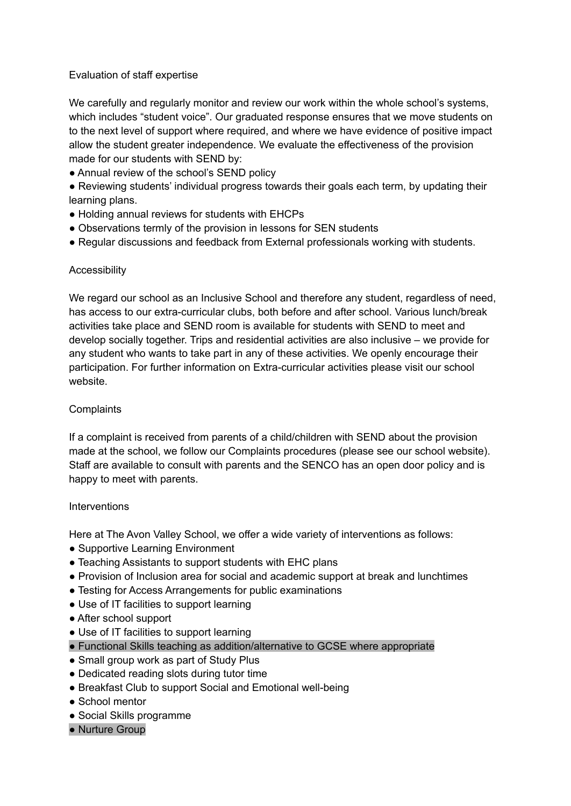## Evaluation of staff expertise

We carefully and regularly monitor and review our work within the whole school's systems, which includes "student voice". Our graduated response ensures that we move students on to the next level of support where required, and where we have evidence of positive impact allow the student greater independence. We evaluate the effectiveness of the provision made for our students with SEND by:

- Annual review of the school's SEND policy
- Reviewing students' individual progress towards their goals each term, by updating their learning plans.
- Holding annual reviews for students with EHCPs
- Observations termly of the provision in lessons for SEN students
- Regular discussions and feedback from External professionals working with students.

### **Accessibility**

We regard our school as an Inclusive School and therefore any student, regardless of need, has access to our extra-curricular clubs, both before and after school. Various lunch/break activities take place and SEND room is available for students with SEND to meet and develop socially together. Trips and residential activities are also inclusive – we provide for any student who wants to take part in any of these activities. We openly encourage their participation. For further information on Extra-curricular activities please visit our school website.

## **Complaints**

If a complaint is received from parents of a child/children with SEND about the provision made at the school, we follow our Complaints procedures (please see our school website). Staff are available to consult with parents and the SENCO has an open door policy and is happy to meet with parents.

### Interventions

Here at The Avon Valley School, we offer a wide variety of interventions as follows:

- Supportive Learning Environment
- Teaching Assistants to support students with EHC plans
- Provision of Inclusion area for social and academic support at break and lunchtimes
- Testing for Access Arrangements for public examinations
- Use of IT facilities to support learning
- After school support
- Use of IT facilities to support learning
- Functional Skills teaching as addition/alternative to GCSE where appropriate
- Small group work as part of Study Plus
- Dedicated reading slots during tutor time
- Breakfast Club to support Social and Emotional well-being
- School mentor
- Social Skills programme
- Nurture Group